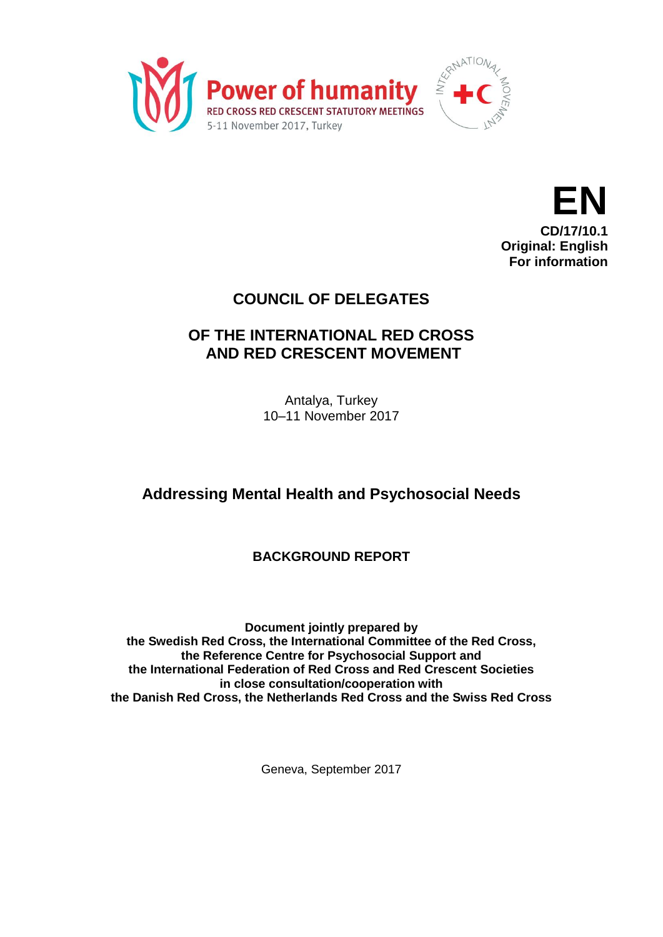



## **COUNCIL OF DELEGATES**

# **OF THE INTERNATIONAL RED CROSS AND RED CRESCENT MOVEMENT**

Antalya, Turkey 10–11 November 2017

# **Addressing Mental Health and Psychosocial Needs**

## **BACKGROUND REPORT**

**Document jointly prepared by the Swedish Red Cross, the International Committee of the Red Cross, the Reference Centre for Psychosocial Support and the International Federation of Red Cross and Red Crescent Societies in close consultation/cooperation with the Danish Red Cross, the Netherlands Red Cross and the Swiss Red Cross**

Geneva, September 2017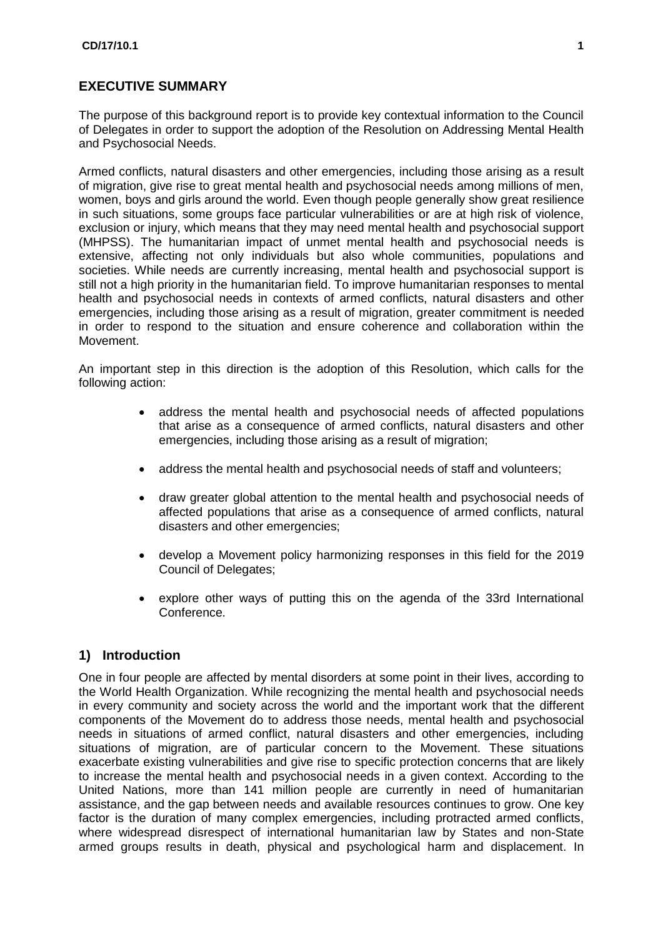#### **EXECUTIVE SUMMARY**

The purpose of this background report is to provide key contextual information to the Council of Delegates in order to support the adoption of the Resolution on Addressing Mental Health and Psychosocial Needs.

Armed conflicts, natural disasters and other emergencies, including those arising as a result of migration, give rise to great mental health and psychosocial needs among millions of men, women, boys and girls around the world. Even though people generally show great resilience in such situations, some groups face particular vulnerabilities or are at high risk of violence, exclusion or injury, which means that they may need mental health and psychosocial support (MHPSS). The humanitarian impact of unmet mental health and psychosocial needs is extensive, affecting not only individuals but also whole communities, populations and societies. While needs are currently increasing, mental health and psychosocial support is still not a high priority in the humanitarian field. To improve humanitarian responses to mental health and psychosocial needs in contexts of armed conflicts, natural disasters and other emergencies, including those arising as a result of migration, greater commitment is needed in order to respond to the situation and ensure coherence and collaboration within the Movement.

An important step in this direction is the adoption of this Resolution, which calls for the following action:

- address the mental health and psychosocial needs of affected populations that arise as a consequence of armed conflicts, natural disasters and other emergencies, including those arising as a result of migration;
- address the mental health and psychosocial needs of staff and volunteers;
- draw greater global attention to the mental health and psychosocial needs of affected populations that arise as a consequence of armed conflicts, natural disasters and other emergencies;
- develop a Movement policy harmonizing responses in this field for the 2019 Council of Delegates;
- explore other ways of putting this on the agenda of the 33rd International Conference.

#### **1) Introduction**

One in four people are affected by mental disorders at some point in their lives, according to the World Health Organization. While recognizing the mental health and psychosocial needs in every community and society across the world and the important work that the different components of the Movement do to address those needs, mental health and psychosocial needs in situations of armed conflict, natural disasters and other emergencies, including situations of migration, are of particular concern to the Movement. These situations exacerbate existing vulnerabilities and give rise to specific protection concerns that are likely to increase the mental health and psychosocial needs in a given context. According to the United Nations, more than 141 million people are currently in need of humanitarian assistance, and the gap between needs and available resources continues to grow. One key factor is the duration of many complex emergencies, including protracted armed conflicts, where widespread disrespect of international humanitarian law by States and non-State armed groups results in death, physical and psychological harm and displacement. In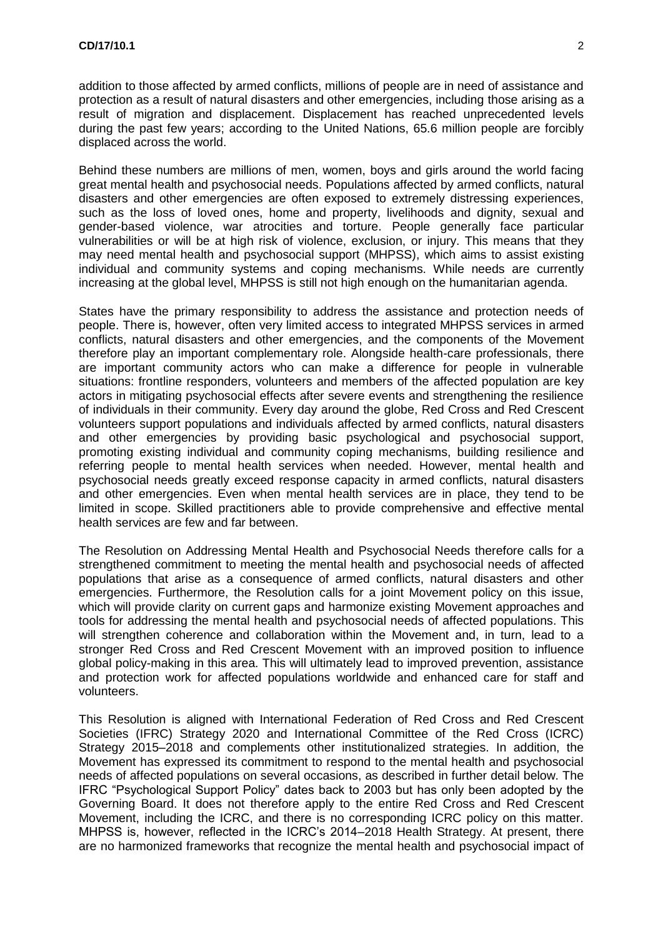addition to those affected by armed conflicts, millions of people are in need of assistance and protection as a result of natural disasters and other emergencies, including those arising as a result of migration and displacement. Displacement has reached unprecedented levels during the past few years; according to the United Nations, 65.6 million people are forcibly displaced across the world.

Behind these numbers are millions of men, women, boys and girls around the world facing great mental health and psychosocial needs. Populations affected by armed conflicts, natural disasters and other emergencies are often exposed to extremely distressing experiences, such as the loss of loved ones, home and property, livelihoods and dignity, sexual and gender-based violence, war atrocities and torture. People generally face particular vulnerabilities or will be at high risk of violence, exclusion, or injury. This means that they may need mental health and psychosocial support (MHPSS), which aims to assist existing individual and community systems and coping mechanisms. While needs are currently increasing at the global level, MHPSS is still not high enough on the humanitarian agenda.

States have the primary responsibility to address the assistance and protection needs of people. There is, however, often very limited access to integrated MHPSS services in armed conflicts, natural disasters and other emergencies, and the components of the Movement therefore play an important complementary role. Alongside health-care professionals, there are important community actors who can make a difference for people in vulnerable situations: frontline responders, volunteers and members of the affected population are key actors in mitigating psychosocial effects after severe events and strengthening the resilience of individuals in their community. Every day around the globe, Red Cross and Red Crescent volunteers support populations and individuals affected by armed conflicts, natural disasters and other emergencies by providing basic psychological and psychosocial support, promoting existing individual and community coping mechanisms, building resilience and referring people to mental health services when needed. However, mental health and psychosocial needs greatly exceed response capacity in armed conflicts, natural disasters and other emergencies. Even when mental health services are in place, they tend to be limited in scope. Skilled practitioners able to provide comprehensive and effective mental health services are few and far between.

The Resolution on Addressing Mental Health and Psychosocial Needs therefore calls for a strengthened commitment to meeting the mental health and psychosocial needs of affected populations that arise as a consequence of armed conflicts, natural disasters and other emergencies. Furthermore, the Resolution calls for a joint Movement policy on this issue, which will provide clarity on current gaps and harmonize existing Movement approaches and tools for addressing the mental health and psychosocial needs of affected populations. This will strengthen coherence and collaboration within the Movement and, in turn, lead to a stronger Red Cross and Red Crescent Movement with an improved position to influence global policy-making in this area. This will ultimately lead to improved prevention, assistance and protection work for affected populations worldwide and enhanced care for staff and volunteers.

This Resolution is aligned with International Federation of Red Cross and Red Crescent Societies (IFRC) Strategy 2020 and International Committee of the Red Cross (ICRC) Strategy 2015–2018 and complements other institutionalized strategies. In addition, the Movement has expressed its commitment to respond to the mental health and psychosocial needs of affected populations on several occasions, as described in further detail below. The IFRC "Psychological Support Policy" dates back to 2003 but has only been adopted by the Governing Board. It does not therefore apply to the entire Red Cross and Red Crescent Movement, including the ICRC, and there is no corresponding ICRC policy on this matter. MHPSS is, however, reflected in the ICRC's 2014–2018 Health Strategy. At present, there are no harmonized frameworks that recognize the mental health and psychosocial impact of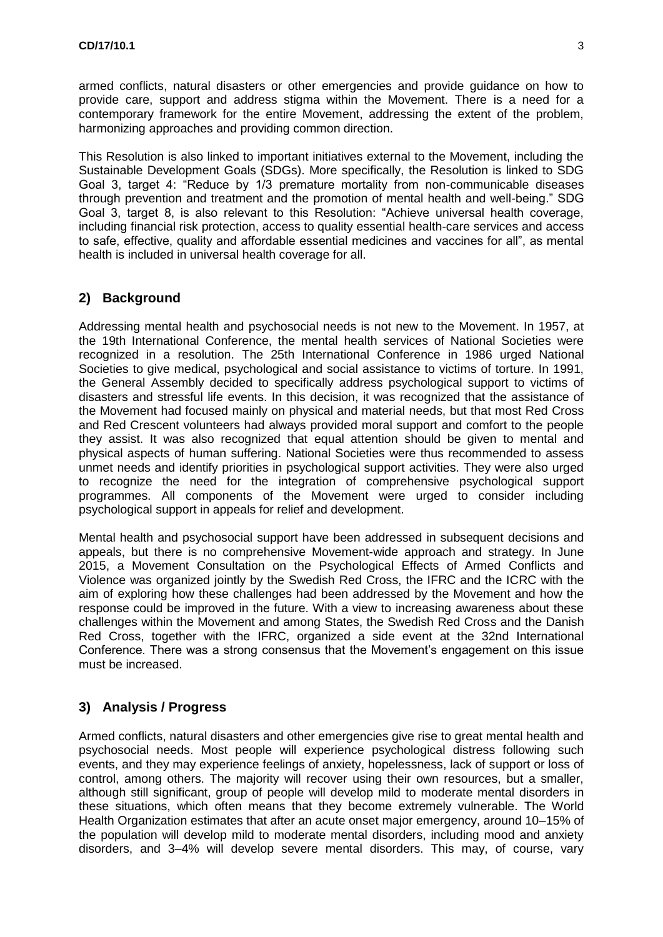armed conflicts, natural disasters or other emergencies and provide guidance on how to provide care, support and address stigma within the Movement. There is a need for a contemporary framework for the entire Movement, addressing the extent of the problem, harmonizing approaches and providing common direction.

This Resolution is also linked to important initiatives external to the Movement, including the Sustainable Development Goals (SDGs). More specifically, the Resolution is linked to SDG Goal 3, target 4: "Reduce by 1/3 premature mortality from non-communicable diseases through prevention and treatment and the promotion of mental health and well-being." SDG Goal 3, target 8, is also relevant to this Resolution: "Achieve universal health coverage, including financial risk protection, access to quality essential health-care services and access to safe, effective, quality and affordable essential medicines and vaccines for all", as mental health is included in universal health coverage for all.

### **2) Background**

Addressing mental health and psychosocial needs is not new to the Movement. In 1957, at the 19th International Conference, the mental health services of National Societies were recognized in a resolution. The 25th International Conference in 1986 urged National Societies to give medical, psychological and social assistance to victims of torture. In 1991, the General Assembly decided to specifically address psychological support to victims of disasters and stressful life events. In this decision, it was recognized that the assistance of the Movement had focused mainly on physical and material needs, but that most Red Cross and Red Crescent volunteers had always provided moral support and comfort to the people they assist. It was also recognized that equal attention should be given to mental and physical aspects of human suffering. National Societies were thus recommended to assess unmet needs and identify priorities in psychological support activities. They were also urged to recognize the need for the integration of comprehensive psychological support programmes. All components of the Movement were urged to consider including psychological support in appeals for relief and development.

Mental health and psychosocial support have been addressed in subsequent decisions and appeals, but there is no comprehensive Movement-wide approach and strategy. In June 2015, a Movement Consultation on the Psychological Effects of Armed Conflicts and Violence was organized jointly by the Swedish Red Cross, the IFRC and the ICRC with the aim of exploring how these challenges had been addressed by the Movement and how the response could be improved in the future. With a view to increasing awareness about these challenges within the Movement and among States, the Swedish Red Cross and the Danish Red Cross, together with the IFRC, organized a side event at the 32nd International Conference. There was a strong consensus that the Movement's engagement on this issue must be increased.

#### **3) Analysis / Progress**

Armed conflicts, natural disasters and other emergencies give rise to great mental health and psychosocial needs. Most people will experience psychological distress following such events, and they may experience feelings of anxiety, hopelessness, lack of support or loss of control, among others. The majority will recover using their own resources, but a smaller, although still significant, group of people will develop mild to moderate mental disorders in these situations, which often means that they become extremely vulnerable. The World Health Organization estimates that after an acute onset major emergency, around 10–15% of the population will develop mild to moderate mental disorders, including mood and anxiety disorders, and 3–4% will develop severe mental disorders. This may, of course, vary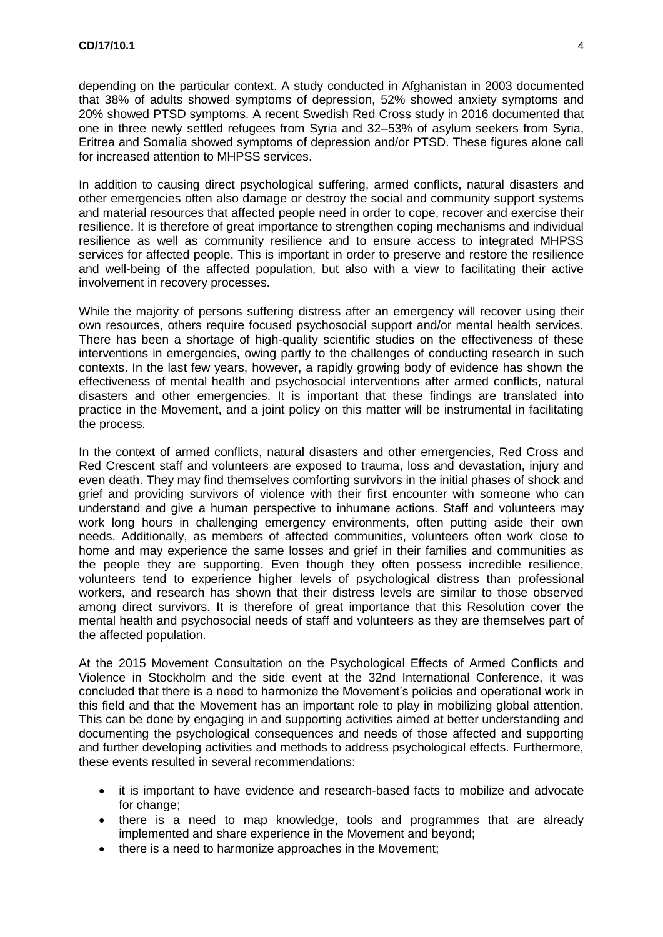depending on the particular context. A study conducted in Afghanistan in 2003 documented that 38% of adults showed symptoms of depression, 52% showed anxiety symptoms and 20% showed PTSD symptoms. A recent Swedish Red Cross study in 2016 documented that one in three newly settled refugees from Syria and 32–53% of asylum seekers from Syria, Eritrea and Somalia showed symptoms of depression and/or PTSD. These figures alone call for increased attention to MHPSS services.

In addition to causing direct psychological suffering, armed conflicts, natural disasters and other emergencies often also damage or destroy the social and community support systems and material resources that affected people need in order to cope, recover and exercise their resilience. It is therefore of great importance to strengthen coping mechanisms and individual resilience as well as community resilience and to ensure access to integrated MHPSS services for affected people. This is important in order to preserve and restore the resilience and well-being of the affected population, but also with a view to facilitating their active involvement in recovery processes.

While the majority of persons suffering distress after an emergency will recover using their own resources, others require focused psychosocial support and/or mental health services. There has been a shortage of high-quality scientific studies on the effectiveness of these interventions in emergencies, owing partly to the challenges of conducting research in such contexts. In the last few years, however, a rapidly growing body of evidence has shown the effectiveness of mental health and psychosocial interventions after armed conflicts, natural disasters and other emergencies. It is important that these findings are translated into practice in the Movement, and a joint policy on this matter will be instrumental in facilitating the process.

In the context of armed conflicts, natural disasters and other emergencies, Red Cross and Red Crescent staff and volunteers are exposed to trauma, loss and devastation, injury and even death. They may find themselves comforting survivors in the initial phases of shock and grief and providing survivors of violence with their first encounter with someone who can understand and give a human perspective to inhumane actions. Staff and volunteers may work long hours in challenging emergency environments, often putting aside their own needs. Additionally, as members of affected communities, volunteers often work close to home and may experience the same losses and grief in their families and communities as the people they are supporting. Even though they often possess incredible resilience, volunteers tend to experience higher levels of psychological distress than professional workers, and research has shown that their distress levels are similar to those observed among direct survivors. It is therefore of great importance that this Resolution cover the mental health and psychosocial needs of staff and volunteers as they are themselves part of the affected population.

At the 2015 Movement Consultation on the Psychological Effects of Armed Conflicts and Violence in Stockholm and the side event at the 32nd International Conference, it was concluded that there is a need to harmonize the Movement's policies and operational work in this field and that the Movement has an important role to play in mobilizing global attention. This can be done by engaging in and supporting activities aimed at better understanding and documenting the psychological consequences and needs of those affected and supporting and further developing activities and methods to address psychological effects. Furthermore, these events resulted in several recommendations:

- it is important to have evidence and research-based facts to mobilize and advocate for change;
- there is a need to map knowledge, tools and programmes that are already implemented and share experience in the Movement and beyond;
- there is a need to harmonize approaches in the Movement;